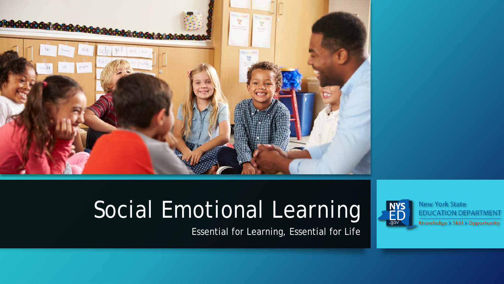

# Social Emotional Learning

Essential for Learning, Essential for Life

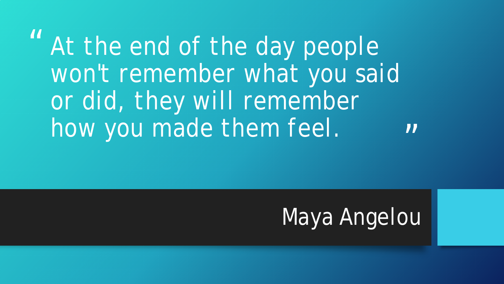"  $\boldsymbol{\mathsf{II}}$ *At the end of the day people won't remember what you said or did, they will remember how you made them feel.*

# Maya Angelou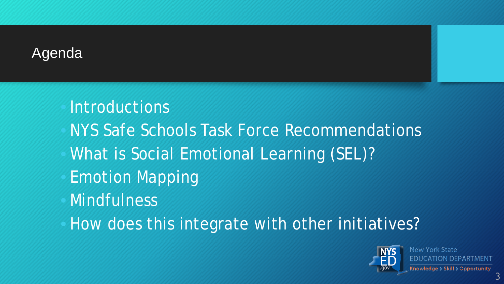#### Agenda

- **Introductions**
- NYS Safe Schools Task Force Recommendations
- What is Social Emotional Learning (SEL)?
- Emotion Mapping
- **Mindfulness**
- How does this integrate with other initiatives?

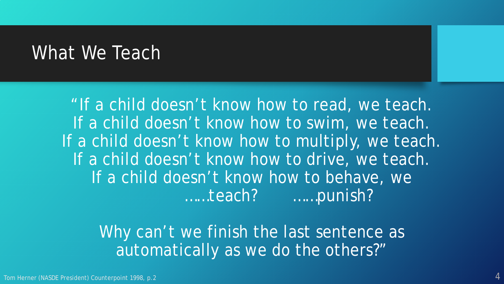#### What We Teach

"If a child doesn't know how to read, *we teach*. If a child doesn't know how to swim, *we teach*. If a child doesn't know how to multiply, *we teach*. If a child doesn't know how to drive, *we teach.* If a child doesn't know how to behave, we *……teach? ……punish?*

Why can't we finish the last sentence as automatically as we do the others?"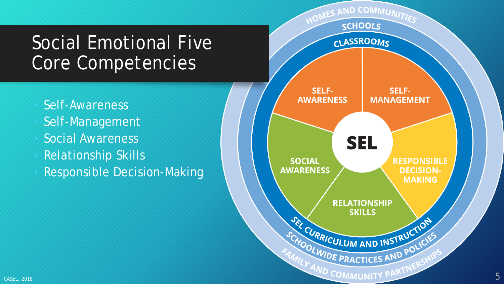### Social Emotional Five Core Competencies

- Self-Awareness
- Self-Management
- Social Awareness
- Relationship Skills
- Responsible Decision-Making

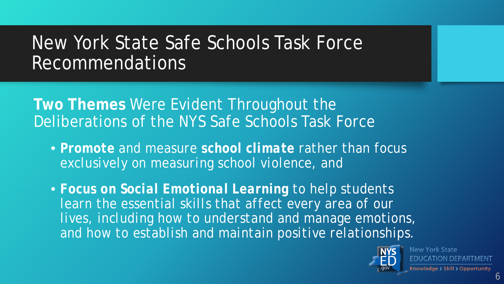## New York State Safe Schools Task Force Recommendations

**Two Themes** Were Evident Throughout the Deliberations of the NYS Safe Schools Task Force

• *Promote and measure school climate rather than focus exclusively on measuring school violence, and* 

• *Focus on Social Emotional Learning to help students learn the essential skills that affect every area of our lives, including how to understand and manage emotions, and how to establish and maintain positive relationships.*

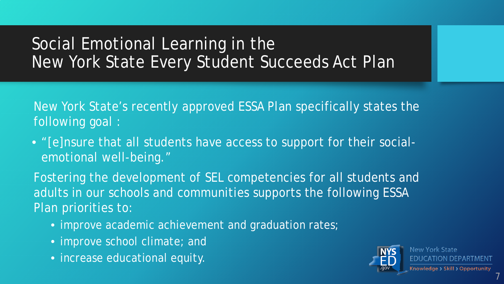#### Social Emotional Learning in the New York State Every Student Succeeds Act Plan

New York State's recently approved ESSA Plan specifically states the following goal :

• "[e]nsure that all students have access to support for their socialemotional well-being."

Fostering the development of SEL competencies for all students and adults in our schools and communities supports the following ESSA Plan priorities to:

- improve academic achievement and graduation rates;
- improve school climate; and
- increase educational equity.

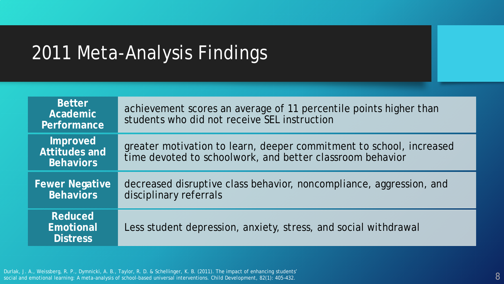# 2011 Meta-Analysis Findings

| <b>Better</b><br>Academic<br>Performance       | achievement scores an average of 11 percentile points higher than<br>students who did not receive SEL instruction                |
|------------------------------------------------|----------------------------------------------------------------------------------------------------------------------------------|
| Improved<br>Attitudes and<br><b>Behaviors</b>  | greater motivation to learn, deeper commitment to school, increased<br>time devoted to schoolwork, and better classroom behavior |
| <b>Fewer Negative</b><br><b>Behaviors</b>      | decreased disruptive class behavior, noncompliance, aggression, and<br>disciplinary referrals                                    |
| <b>Reduced</b><br>Emotional<br><b>Distress</b> | Less student depression, anxiety, stress, and social withdrawal                                                                  |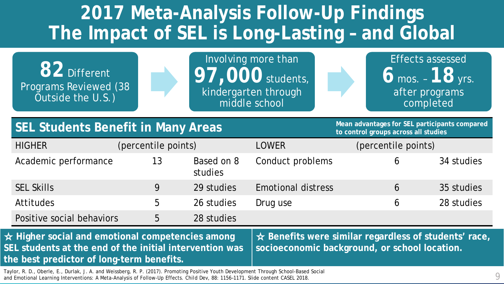# **2017 Meta-Analysis Follow-Up Findings The Impact of SEL is Long-Lasting – and Global**

**82** Different Programs Reviewed (38 Outside the U.S.)

Involving more than **97,000** students, kindergarten through middle school

Effects assessed **6** mos. – **18** yrs. after programs completed

#### **SEL Students Benefit in Many Areas Mean advantages for SEL participants compared SEL** Studies **SEL PARTICIPALL**

**to control groups across all studies**

| <b>HIGHER</b>             | (percentile points) |                       | <b>LOWER</b>              | (percentile points) |            |
|---------------------------|---------------------|-----------------------|---------------------------|---------------------|------------|
| Academic performance      | 13                  | Based on 8<br>studies | Conduct problems          | b                   | 34 studies |
| <b>SEL Skills</b>         | 9                   | 29 studies            | <b>Emotional distress</b> | 6                   | 35 studies |
| <b>Attitudes</b>          | $\mathcal{L}$       | 26 studies            | Drug use                  | 6                   | 28 studies |
| Positive social behaviors | 5                   | 28 studies            |                           |                     |            |

☆ **Higher social and emotional competencies among SEL students at the end of the initial intervention was the best predictor of long-term benefits.**

☆ **Benefits were similar regardless of students' race, socioeconomic background, or school location.**

9 Taylor, R. D., Oberle, E., Durlak, J. A. and Weissberg, R. P. (2017). Promoting Positive Youth Development Through School-Based Social and Emotional Learning Interventions: A Meta-Analysis of Follow-Up Effects. *Child Dev*, 88: 1156–1171. Slide content CASEL 2018.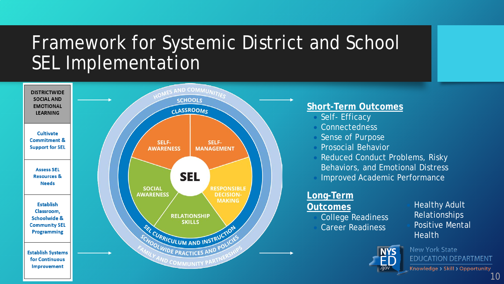## Framework for Systemic District and School **SEL Implementation**

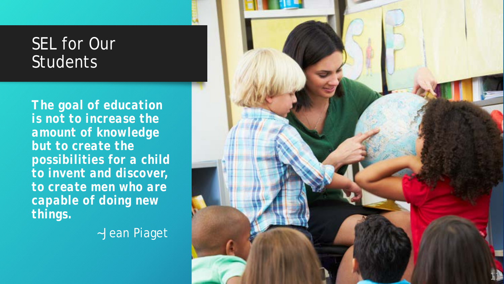#### **SEL for Our** Students

*The goal of education is not to increase the amount of knowledge but to create the possibilities for a child to invent and discover, to create men who are capable of doing new things.* 

~Jean Piaget

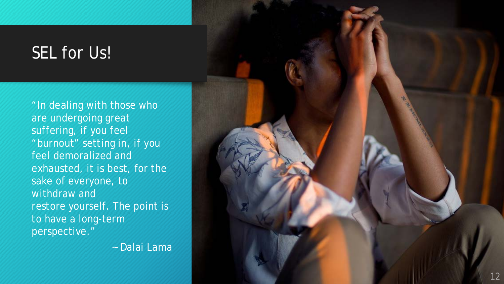#### SEL for Us!

"In dealing with those who are undergoing great suffering, if you feel "burnout" setting in, if you feel demoralized and exhausted, it is best, for the sake of everyone, to withdraw and restore yourself. The point is to have a long-term perspective."

~ Dalai Lama

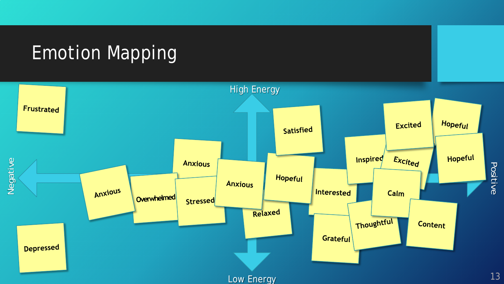## Emotion Mapping

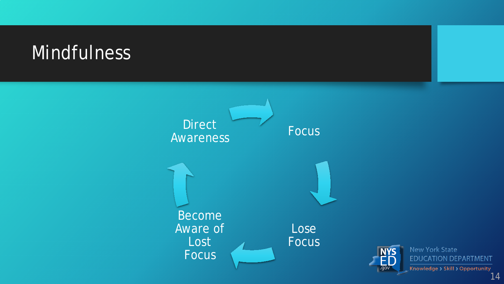### **Mindfulness**



New York State **EDUCATION DEPARTMENT** Knowledge > Skill > Opportunity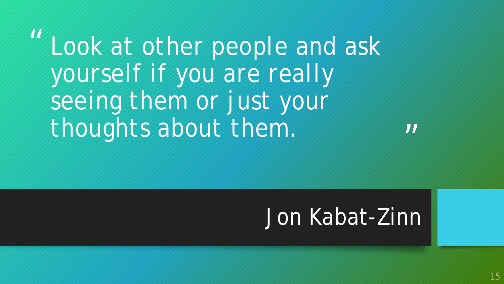" *Look at other people and ask yourself if you are really seeing them or just your thoughts about them.*

 $\boldsymbol{\mathsf{II}}$ 

# Jon Kabat-Zinn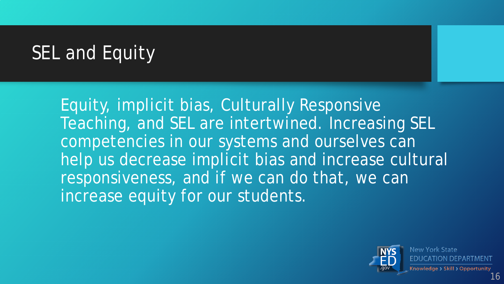# SEL and Equity

Equity, implicit bias, Culturally Responsive Teaching, and SEL are intertwined. Increasing SEL competencies in our systems and ourselves can help us decrease implicit bias and increase cultural responsiveness, and if we can do that, we can increase equity for our students.

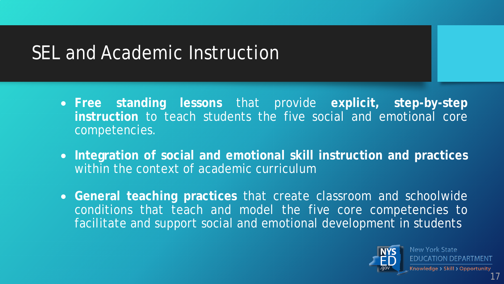# SEL and Academic Instruction

- **Free standing lessons** that provide **explicit, step-by-step instruction** to teach students the five social and emotional core competencies.
- **Integration of social and emotional skill instruction and practices** within the context of academic curriculum
- **General teaching practices** that create classroom and schoolwide conditions that teach and model the five core competencies to facilitate and support social and emotional development in students

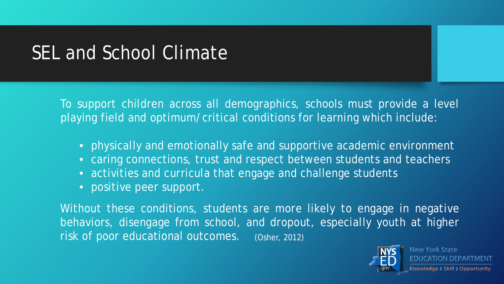# SEL and School Climate

To support children across all demographics, schools must provide a level playing field and optimum/critical conditions for learning which include:

- physically and emotionally safe and supportive academic environment
- caring connections, trust and respect between students and teachers
- activities and curricula that engage and challenge students
- positive peer support.

Without these conditions, students are more likely to engage in negative behaviors, disengage from school, and dropout, especially youth at higher risk of poor educational outcomes. (Osher, 2012)



**New York State** JCATION DEP Knowledge > Skill > Opportunity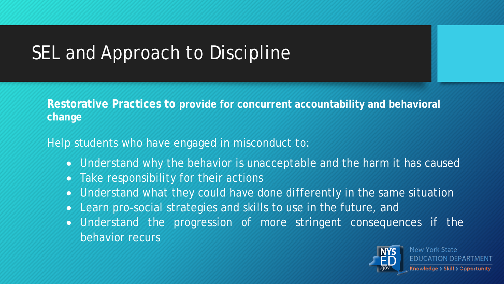# SEL and Approach to Discipline

**Restorative Practices to provide for concurrent accountability and behavioral change**

Help students who have engaged in misconduct to:

- Understand why the behavior is unacceptable and the harm it has caused
- Take responsibility for their actions
- Understand what they could have done differently in the same situation
- Learn pro-social strategies and skills to use in the future, and
- Understand the progression of more stringent consequences if the behavior recurs

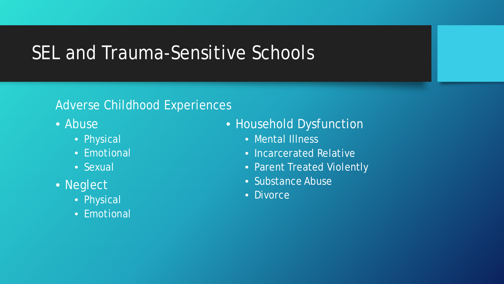### SEL and Trauma-Sensitive Schools

#### Adverse Childhood Experiences

- Abuse
	- Physical
	- Emotional
	- Sexual
- Neglect
	- Physical
	- Emotional
- Household Dysfunction
	- Mental Illness
	- Incarcerated Relative
	- Parent Treated Violently
	- Substance Abuse
	- Divorce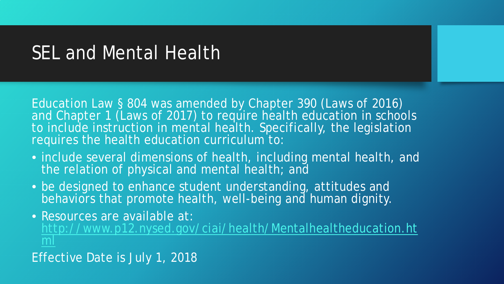#### SEL and Mental Health

Education Law § 804 was amended by Chapter 390 (Laws of 2016) and Chapter 1 (Laws of 2017) to require health education in schools to include instruction in mental health. Specifically, the legislation requires the health education curriculum to:

- include several dimensions of health, including mental health, and the relation of physical and mental health; and
- be designed to enhance student understanding, attitudes and behaviors that promote health, well-being and human dignity.

• Resources are available at: [http://www.p12.nysed.gov/ciai/health/Mentalhealtheducation.ht](http://www.p12.nysed.gov/ciai/health/Mentalhealtheducation.html) ml

Effective Date is July 1, 2018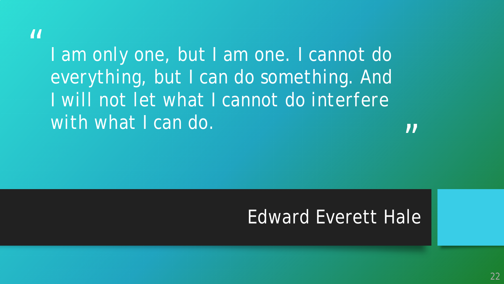#### $\boldsymbol{\mathit{II}}$

*I am only one, but I am one. I cannot do everything, but I can do something. And I will not let what I cannot do interfere with what I can do.*

 $\boldsymbol{\mathsf{II}}$ 

#### Edward Everett Hale